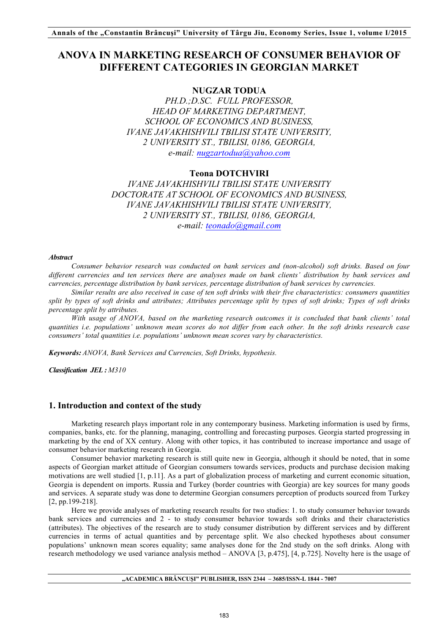# **ANOVA IN MARKETING RESEARCH OF CONSUMER BEHAVIOR OF DIFFERENT CATEGORIES IN GEORGIAN MARKET**

# **NUGZAR TODUA**

*PH.D.;D.SC. FULL PROFESSOR, HEAD OF MARKETING DEPARTMENT, SCHOOL OF ECONOMICS AND BUSINESS, IVANE JAVAKHISHVILI TBILISI STATE UNIVERSITY, 2 UNIVERSITY ST., TBILISI, 0186, GEORGIA, e-mail: nugzartodua@yahoo.com*

### **Teona DOTCHVIRI**

*IVANE JAVAKHISHVILI TBILISI STATE UNIVERSITY DOCTORATE AT SCHOOL OF ECONOMICS AND BUSINESS, IVANE JAVAKHISHVILI TBILISI STATE UNIVERSITY, 2 UNIVERSITY ST., TBILISI, 0186, GEORGIA, e-mail: teonado@gmail.com*

#### *Abstract*

*Consumer behavior research was conducted on bank services and (non-alcohol) soft drinks. Based on four different currencies and ten services there are analyses made on bank clients' distribution by bank services and currencies, percentage distribution by bank services, percentage distribution of bank services by currencies.* 

*Similar results are also received in case of ten soft drinks with their five characteristics: consumers quantities split by types of soft drinks and attributes; Attributes percentage split by types of soft drinks; Types of soft drinks percentage split by attributes.*

*With usage of ANOVA, based on the marketing research outcomes it is concluded that bank clients' total quantities i.e. populations' unknown mean scores do not differ from each other. In the soft drinks research case consumers' total quantities i.e. populations' unknown mean scores vary by characteristics.*

*Keywords: ANOVA, Bank Services and Currencies, Soft Drinks, hypothesis.*

*Classification JEL : M310* 

### **1. Introduction and context of the study**

Marketing research plays important role in any contemporary business. Marketing information is used by firms, companies, banks, etc. for the planning, managing, controlling and forecasting purposes. Georgia started progressing in marketing by the end of XX century. Along with other topics, it has contributed to increase importance and usage of consumer behavior marketing research in Georgia.

Consumer behavior marketing research is still quite new in Georgia, although it should be noted, that in some aspects of Georgian market attitude of Georgian consumers towards services, products and purchase decision making motivations are well studied [1, p.11]. As a part of globalization process of marketing and current economic situation, Georgia is dependent on imports. Russia and Turkey (border countries with Georgia) are key sources for many goods and services. A separate study was done to determine Georgian consumers perception of products sourced from Turkey [2, pp.199-218].

Here we provide analyses of marketing research results for two studies: 1. to study consumer behavior towards bank services and currencies and 2 - to study consumer behavior towards soft drinks and their characteristics (attributes). The objectives of the research are to study consumer distribution by different services and by different currencies in terms of actual quantities and by percentage split. We also checked hypotheses about consumer populations' unknown mean scores equality; same analyses done for the 2nd study on the soft drinks. Along with research methodology we used variance analysis method – ANOVA [3, p.475], [4, p.725]. Novelty here is the usage of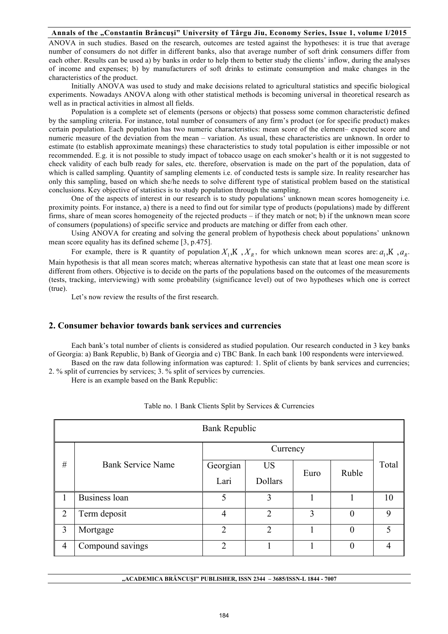#### **Annals of the "Constantin Brâncuşi" University of Târgu Jiu, Economy Series, Issue 1, volume I/2015**

ANOVA in such studies. Based on the research, outcomes are tested against the hypotheses: it is true that average number of consumers do not differ in different banks, also that average number of soft drink consumers differ from each other. Results can be used a) by banks in order to help them to better study the clients' inflow, during the analyses of income and expenses; b) by manufacturers of soft drinks to estimate consumption and make changes in the characteristics of the product.

Initially ANOVA was used to study and make decisions related to agricultural statistics and specific biological experiments. Nowadays ANOVA along with other statistical methods is becoming universal in theoretical research as well as in practical activities in almost all fields.

Population is a complete set of elements (persons or objects) that possess some common characteristic defined by the sampling criteria. For instance, total number of consumers of any firm's product (or for specific product) makes certain population. Each population has two numeric characteristics: mean score of the element– expected score and numeric measure of the deviation from the mean – variation. As usual, these characteristics are unknown. In order to estimate (to establish approximate meanings) these characteristics to study total population is either impossible or not recommended. E.g. it is not possible to study impact of tobacco usage on each smoker's health or it is not suggested to check validity of each bulb ready for sales, etc. therefore, observation is made on the part of the population, data of which is called sampling. Quantity of sampling elements i.e. of conducted tests is sample size. In reality researcher has only this sampling, based on which she/he needs to solve different type of statistical problem based on the statistical conclusions. Key objective of statistics is to study population through the sampling.

One of the aspects of interest in our research is to study populations' unknown mean scores homogeneity i.e. proximity points. For instance, a) there is a need to find out for similar type of products (populations) made by different firms, share of mean scores homogeneity of the rejected products – if they match or not; b) if the unknown mean score of consumers (populations) of specific service and products are matching or differ from each other.

Using ANOVA for creating and solving the general problem of hypothesis check about populations' unknown mean score equality has its defined scheme [3, p.475].

For example, there is R quantity of population  $X_1, K, X_k$ , for which unknown mean scores are:  $a_1, K, a_k$ . Main hypothesis is that all mean scores match; whereas alternative hypothesis can state that at least one mean score is different from others. Objective is to decide on the parts of the populations based on the outcomes of the measurements (tests, tracking, interviewing) with some probability (significance level) out of two hypotheses which one is correct (true).

Let's now review the results of the first research.

## **2. Consumer behavior towards bank services and currencies**

Each bank's total number of clients is considered as studied population. Our research conducted in 3 key banks of Georgia: a) Bank Republic, b) Bank of Georgia and c) TBC Bank. In each bank 100 respondents were interviewed.

Based on the raw data following information was captured: 1. Split of clients by bank services and currencies; 2. % split of currencies by services; 3. % split of services by currencies.

Here is an example based on the Bank Republic:

| <b>Bank Republic</b> |                          |                |                |      |                |       |  |  |  |
|----------------------|--------------------------|----------------|----------------|------|----------------|-------|--|--|--|
|                      |                          |                | Currency       |      |                |       |  |  |  |
| #                    | <b>Bank Service Name</b> | Georgian       | <b>US</b>      | Euro | Ruble          | Total |  |  |  |
|                      |                          | Lari           | <b>Dollars</b> |      |                |       |  |  |  |
| 1                    | Business loan            | 5              | 3              |      |                | 10    |  |  |  |
| $\overline{2}$       | Term deposit             | 4              | $\overline{2}$ | 3    | $\overline{0}$ | 9     |  |  |  |
| 3                    | Mortgage                 | $\overline{2}$ | $\overline{2}$ |      | $\theta$       | 5     |  |  |  |
| $\overline{4}$       | Compound savings         | $\overline{2}$ |                |      | $\theta$       | 4     |  |  |  |

Table no. 1 Bank Clients Split by Services & Currencies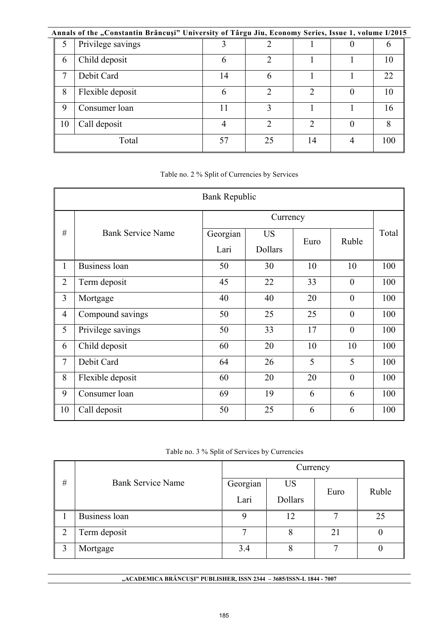|    | Annals of the "Constantin Brâncuși" University of Târgu Jiu, Economy Series, Issue 1, volume I/2015 |                |    |    |     |
|----|-----------------------------------------------------------------------------------------------------|----------------|----|----|-----|
| 5  | Privilege savings                                                                                   |                |    |    | O   |
| 6  | Child deposit                                                                                       | 6              |    |    | 10  |
| 7  | Debit Card                                                                                          | 14             | 6  |    | 22  |
| 8  | Flexible deposit                                                                                    | 6              | ∍  | ∍  | 10  |
| 9  | Consumer loan                                                                                       |                | 3  |    | 16  |
| 10 | Call deposit                                                                                        | $\overline{4}$ | ◠  | ↑  | 8   |
|    | Total                                                                                               | 57             | 25 | 14 | 100 |

Table no. 2 % Split of Currencies by Services

| <b>Bank Republic</b>    |                          |          |           |      |                  |       |  |  |  |
|-------------------------|--------------------------|----------|-----------|------|------------------|-------|--|--|--|
|                         |                          |          | Currency  |      |                  |       |  |  |  |
| #                       | <b>Bank Service Name</b> | Georgian | <b>US</b> | Euro | Ruble            | Total |  |  |  |
|                         |                          | Lari     | Dollars   |      |                  |       |  |  |  |
| $\mathbf{1}$            | Business loan            | 50       | 30        | 10   | 10               | 100   |  |  |  |
| $\overline{2}$          | Term deposit             | 45       | 22        | 33   | $\overline{0}$   | 100   |  |  |  |
| $\overline{\mathbf{3}}$ | Mortgage                 | 40       | 40        | 20   | $\boldsymbol{0}$ | 100   |  |  |  |
| 4                       | Compound savings         | 50       | 25        | 25   | $\overline{0}$   | 100   |  |  |  |
| 5                       | Privilege savings        | 50       | 33        | 17   | $\overline{0}$   | 100   |  |  |  |
| 6                       | Child deposit            | 60       | 20        | 10   | 10               | 100   |  |  |  |
| $\tau$                  | Debit Card               | 64       | 26        | 5    | 5                | 100   |  |  |  |
| 8                       | Flexible deposit         | 60       | 20        | 20   | $\boldsymbol{0}$ | 100   |  |  |  |
| 9                       | Consumer loan            | 69       | 19        | 6    | 6                | 100   |  |  |  |
| 10                      | Call deposit             | 50       | 25        | 6    | 6                | 100   |  |  |  |

Table no. 3 % Split of Services by Currencies

|   |                          | Currency |           |      |       |  |  |  |
|---|--------------------------|----------|-----------|------|-------|--|--|--|
| # | <b>Bank Service Name</b> | Georgian | <b>US</b> |      | Ruble |  |  |  |
|   |                          | Lari     | Dollars   | Euro |       |  |  |  |
|   | Business loan            | 9        | 12        |      | 25    |  |  |  |
| 2 | Term deposit             | ⇁        | 8         | 21   |       |  |  |  |
| 2 | Mortgage                 | 3.4      | 8         |      |       |  |  |  |

**"ACADEMICA BRÂNCUŞI" PUBLISHER, ISSN 2344 – 3685/ISSN-L 1844 - 7007**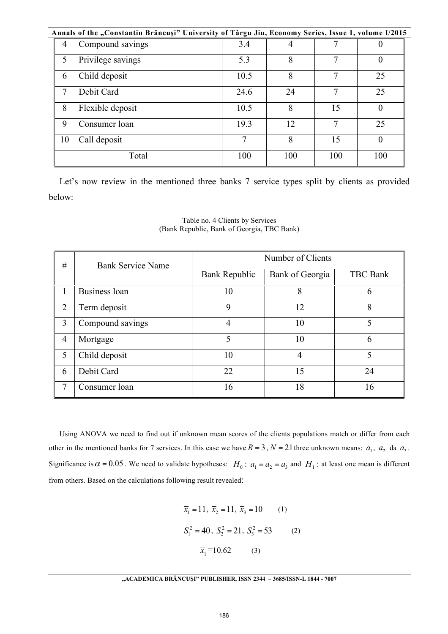|    | Annals of the "Constantin Brâncuși" University of Târgu Jiu, Economy Series, Issue 1, volume I/2015 |      |     |     |          |
|----|-----------------------------------------------------------------------------------------------------|------|-----|-----|----------|
| 4  | Compound savings                                                                                    | 3.4  |     |     |          |
| 5  | Privilege savings                                                                                   | 5.3  | 8   |     |          |
| 6  | Child deposit                                                                                       | 10.5 | 8   |     | 25       |
| 7  | Debit Card                                                                                          | 24.6 | 24  |     | 25       |
| 8  | Flexible deposit                                                                                    | 10.5 | 8   | 15  | $\theta$ |
| 9  | Consumer loan                                                                                       | 19.3 | 12  | 7   | 25       |
| 10 | Call deposit                                                                                        | 7    | 8   | 15  |          |
|    | Total                                                                                               | 100  | 100 | 100 | 100      |

Let's now review in the mentioned three banks 7 service types split by clients as provided below:

| #              | <b>Bank Service Name</b> | Number of Clients    |                 |                 |  |  |  |  |
|----------------|--------------------------|----------------------|-----------------|-----------------|--|--|--|--|
|                |                          | <b>Bank Republic</b> | Bank of Georgia | <b>TBC</b> Bank |  |  |  |  |
|                | Business loan            | 10                   | 8               | h               |  |  |  |  |
| 2              | Term deposit             | 9                    | 12              | 8               |  |  |  |  |
| 3              | Compound savings         | 4                    | 10              | 5               |  |  |  |  |
| $\overline{4}$ | Mortgage                 | 5                    | 10              | 6               |  |  |  |  |
| 5              | Child deposit            | 10                   | 4               | 5               |  |  |  |  |
| 6              | Debit Card               | 22                   | 15              | 24              |  |  |  |  |
| 7              | Consumer loan            | 16                   | 18              | 16              |  |  |  |  |

Table no. 4 Clients by Services (Bank Republic, Bank of Georgia, TBC Bank)

Using ANOVA we need to find out if unknown mean scores of the clients populations match or differ from each other in the mentioned banks for 7 services. In this case we have  $R = 3$ ,  $N = 21$  three unknown means:  $a_1$ ,  $a_2$  da  $a_3$ . Significance is  $\alpha = 0.05$ . We need to validate hypotheses:  $H_0$ :  $a_1 = a_2 = a_3$  and  $H_1$ : at least one mean is different from others. Based on the calculations following result revealed:

$$
\overline{x}_1 = 11, \ \overline{x}_2 = 11, \ \overline{x}_3 = 10
$$
 (1)  
 $\overline{S}_1^2 = 40, \ \overline{S}_2^2 = 21, \ \overline{S}_3^2 = 53$  (2)  
 $\overline{x}_1 = 10.62$  (3)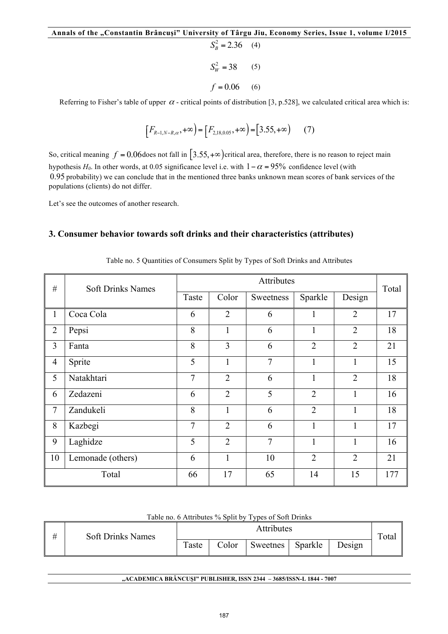```
S_R^2 = 2.36 (4)
S_W^2 = 38 (5)
f = 0.06 (6)
```
Referring to Fisher's table of upper  $\alpha$  - critical points of distribution [3, p.528], we calculated critical area which is:

$$
\left[F_{R-1,N-R,\alpha},+\infty\right) = \left[F_{2,18,0.05},+\infty\right) = \left[3.55,+\infty\right) \tag{7}
$$

So, critical meaning  $f = 0.06$  does not fall in [3.55, + $\infty$ ) critical area, therefore, there is no reason to reject main hypothesis  $H_0$ . In other words, at 0.05 significance level i.e. with  $1 - \alpha = 95\%$  confidence level (with 0.95 probability) we can conclude that in the mentioned three banks unknown mean scores of bank services of the populations (clients) do not differ.

Let's see the outcomes of another research.

## **3. Consumer behavior towards soft drinks and their characteristics (attributes)**

| #              | <b>Soft Drinks Names</b> |                | Attributes     |                |                |                |       |  |
|----------------|--------------------------|----------------|----------------|----------------|----------------|----------------|-------|--|
|                |                          | Taste          | Color          | Sweetness      | Sparkle        | Design         | Total |  |
| $\mathbf{1}$   | Coca Cola                | 6              | $\overline{2}$ | 6              |                | $\overline{2}$ | 17    |  |
| $\overline{2}$ | Pepsi                    | 8              | $\mathbf{1}$   | 6              | $\mathbf{1}$   | $\overline{2}$ | 18    |  |
| 3              | Fanta                    | 8              | 3              | 6              | $\overline{2}$ | $\overline{2}$ | 21    |  |
| $\overline{4}$ | Sprite                   | 5              | $\mathbf{1}$   | $\tau$         | $\mathbf{1}$   | 1              | 15    |  |
| 5              | Natakhtari               | 7              | $\overline{2}$ | 6              | $\mathbf{1}$   | $\overline{2}$ | 18    |  |
| 6              | Zedazeni                 | 6              | $\overline{2}$ | 5              | $\overline{2}$ | 1              | 16    |  |
| $\overline{7}$ | Zandukeli                | 8              | $\mathbf{1}$   | 6              | $\overline{2}$ | $\mathbf{1}$   | 18    |  |
| 8              | Kazbegi                  | $\overline{7}$ | $\overline{2}$ | 6              | $\mathbf{1}$   | 1              | 17    |  |
| 9              | Laghidze                 | 5              | $\overline{2}$ | $\overline{7}$ | $\mathbf{1}$   | 1              | 16    |  |
| 10             | Lemonade (others)        | 6              | $\mathbf{1}$   | 10             | $\overline{2}$ | $\overline{2}$ | 21    |  |
|                | Total                    | 66             | 17             | 65             | 14             | 15             | 177   |  |

Table no. 5 Quantities of Consumers Split by Types of Soft Drinks and Attributes

| # | <b>Soft Drinks Names</b> | Attributes |       |          |         |        |       |
|---|--------------------------|------------|-------|----------|---------|--------|-------|
|   |                          | Taste      | Color | Sweetnes | Sparkle | Design | Total |

### Table no. 6 Attributes % Split by Types of Soft Drinks

#### **"ACADEMICA BRÂNCUŞI" PUBLISHER, ISSN 2344 – 3685/ISSN-L 1844 - 7007**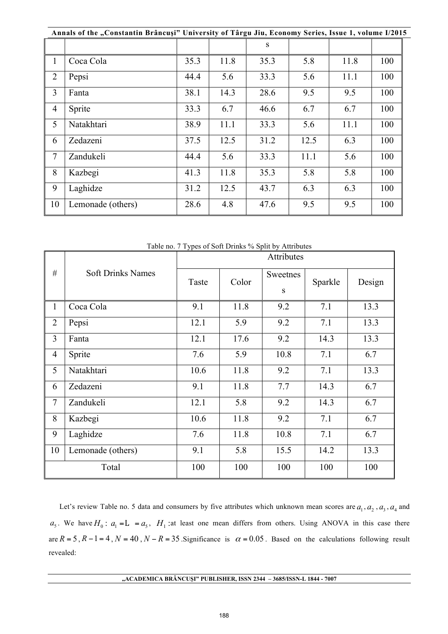|                | Annals of the "Constantin Brâncuși" University of Târgu Jiu, Economy Series, Issue 1, volume I/2015 |      |      |      |      |      |     |  |  |
|----------------|-----------------------------------------------------------------------------------------------------|------|------|------|------|------|-----|--|--|
|                |                                                                                                     |      |      | S.   |      |      |     |  |  |
| 1              | Coca Cola                                                                                           | 35.3 | 11.8 | 35.3 | 5.8  | 11.8 | 100 |  |  |
| $\overline{2}$ | Pepsi                                                                                               | 44.4 | 5.6  | 33.3 | 5.6  | 11.1 | 100 |  |  |
| 3              | Fanta                                                                                               | 38.1 | 14.3 | 28.6 | 9.5  | 9.5  | 100 |  |  |
| 4              | Sprite                                                                                              | 33.3 | 6.7  | 46.6 | 6.7  | 6.7  | 100 |  |  |
| 5              | Natakhtari                                                                                          | 38.9 | 11.1 | 33.3 | 5.6  | 11.1 | 100 |  |  |
| 6              | Zedazeni                                                                                            | 37.5 | 12.5 | 31.2 | 12.5 | 6.3  | 100 |  |  |
| 7              | Zandukeli                                                                                           | 44.4 | 5.6  | 33.3 | 11.1 | 5.6  | 100 |  |  |
| 8              | Kazbegi                                                                                             | 41.3 | 11.8 | 35.3 | 5.8  | 5.8  | 100 |  |  |
| 9              | Laghidze                                                                                            | 31.2 | 12.5 | 43.7 | 6.3  | 6.3  | 100 |  |  |
| 10             | Lemonade (others)                                                                                   | 28.6 | 4.8  | 47.6 | 9.5  | 9.5  | 100 |  |  |

|                | Table no. 7 Types of Soft Drinks 70 Spill by Althoutes |            |       |          |         |        |  |  |  |  |
|----------------|--------------------------------------------------------|------------|-------|----------|---------|--------|--|--|--|--|
|                | <b>Soft Drinks Names</b>                               | Attributes |       |          |         |        |  |  |  |  |
| #              |                                                        | Taste      | Color | Sweetnes | Sparkle | Design |  |  |  |  |
|                |                                                        |            |       | S        |         |        |  |  |  |  |
| $\mathbf{1}$   | Coca Cola                                              | 9.1        | 11.8  | 9.2      | 7.1     | 13.3   |  |  |  |  |
| $\overline{2}$ | Pepsi                                                  | 12.1       | 5.9   | 9.2      | 7.1     | 13.3   |  |  |  |  |
| $\overline{3}$ | Fanta                                                  | 12.1       | 17.6  | 9.2      | 14.3    | 13.3   |  |  |  |  |
| $\overline{4}$ | Sprite                                                 | 7.6        | 5.9   | 10.8     | 7.1     | 6.7    |  |  |  |  |
| 5              | Natakhtari                                             | 10.6       | 11.8  | 9.2      | 7.1     | 13.3   |  |  |  |  |
| 6              | Zedazeni                                               | 9.1        | 11.8  | 7.7      | 14.3    | 6.7    |  |  |  |  |
| $\tau$         | Zandukeli                                              | 12.1       | 5.8   | 9.2      | 14.3    | 6.7    |  |  |  |  |
| 8              | Kazbegi                                                | 10.6       | 11.8  | 9.2      | 7.1     | 6.7    |  |  |  |  |
| 9              | Laghidze                                               | 7.6        | 11.8  | 10.8     | 7.1     | 6.7    |  |  |  |  |
| 10             | Lemonade (others)                                      | 9.1        | 5.8   | 15.5     | 14.2    | 13.3   |  |  |  |  |
|                | Total                                                  | 100        | 100   | 100      | 100     | 100    |  |  |  |  |

7 Types of Soft Drinks % Split by Attribut

Let's review Table no. 5 data and consumers by five attributes which unknown mean scores are  $a_1$ ,  $a_2$ ,  $a_3$ ,  $a_4$  and  $a_5$ . We have  $H_0$ :  $a_1 = L = a_5$ ,  $H_1$ :at least one mean differs from others. Using ANOVA in this case there are  $R = 5$ ,  $R - 1 = 4$ ,  $N = 40$ ,  $N - R = 35$ . Significance is  $\alpha = 0.05$ . Based on the calculations following result revealed: